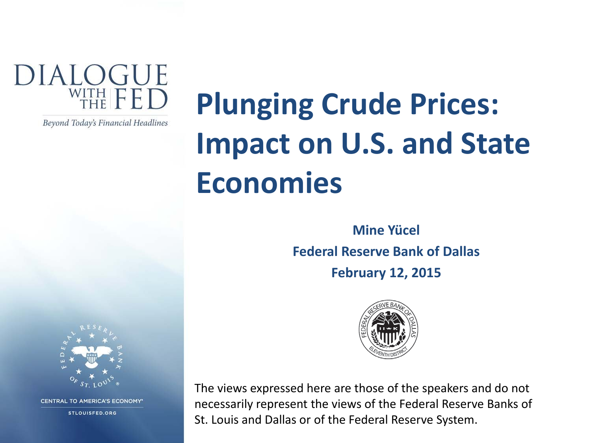

Beyond Today's Financial Headlines

# **Plunging Crude Prices: Impact on U.S. and State Economies**

**Mine Yücel Federal Reserve Bank of Dallas February 12, 2015**



The views expressed here are those of the speakers and do not necessarily represent the views of the Federal Reserve Banks of St. Louis and Dallas or of the Federal Reserve System.



**CENTRAL TO AMERICA'S ECONOMY\*** 

**STLOUISFED.ORG**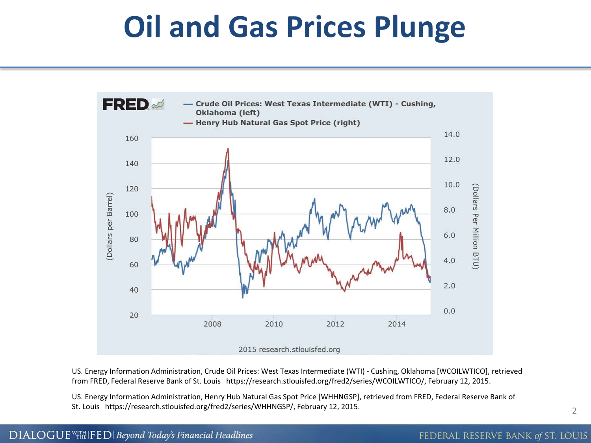# **Oil and Gas Prices Plunge**



US. Energy Information Administration, Crude Oil Prices: West Texas Intermediate (WTI) - Cushing, Oklahoma [WCOILWTICO], retrieved from FRED, Federal Reserve Bank of St. Louis https://research.stlouisfed.org/fred2/series/WCOILWTICO/, February 12, 2015.

US. Energy Information Administration, Henry Hub Natural Gas Spot Price [WHHNGSP], retrieved from FRED, Federal Reserve Bank of St. Louis https://research.stlouisfed.org/fred2/series/WHHNGSP/, February 12, 2015.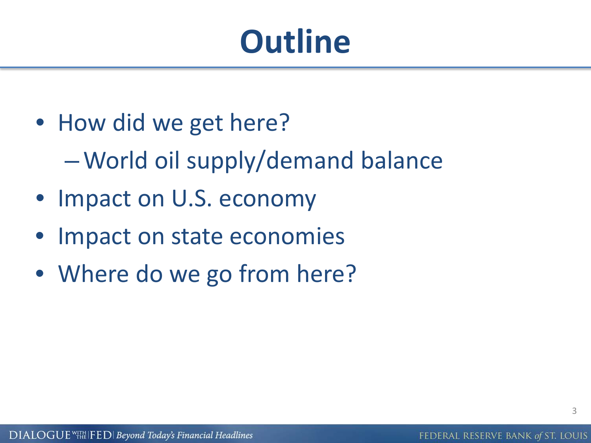# **Outline**

- How did we get here? –World oil supply/demand balance
- Impact on U.S. economy
- Impact on state economies
- Where do we go from here?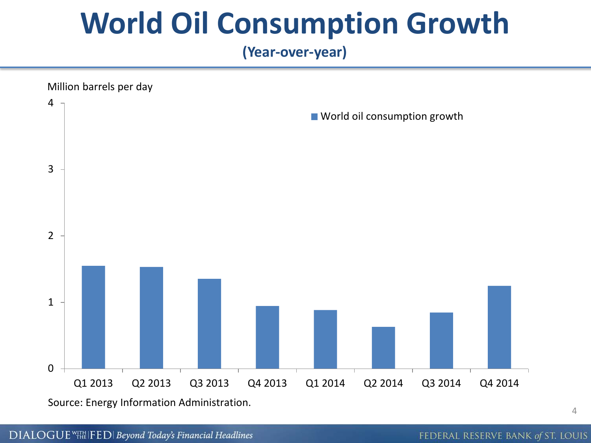# **World Oil Consumption Growth**

#### **(Year-over-year)**



Source: Energy Information Administration.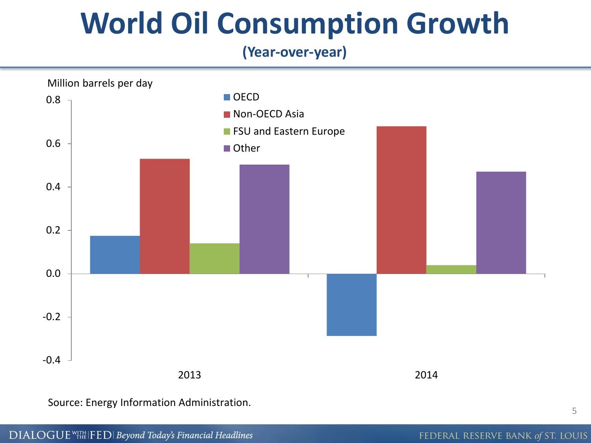# **World Oil Consumption Growth**

#### **(Year-over-year)**



Source: Energy Information Administration.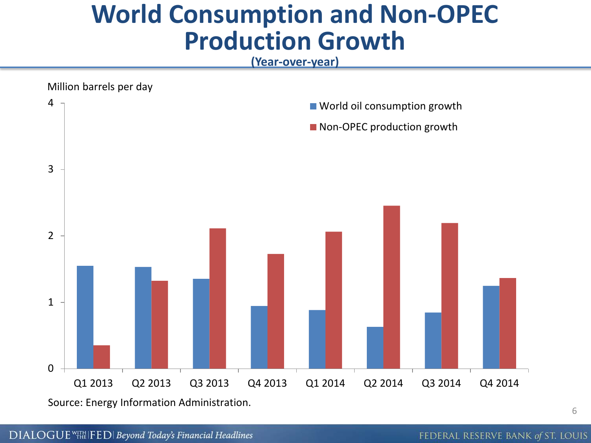#### **World Consumption and Non-OPEC Production Growth**

**(Year-over-year)**



Source: Energy Information Administration.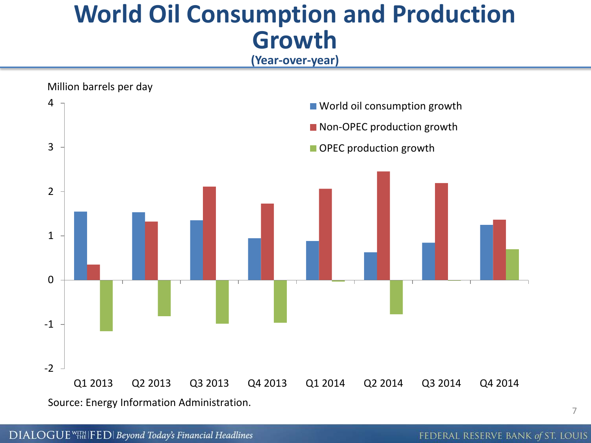#### **World Oil Consumption and Production Growth**

**(Year-over-year)**

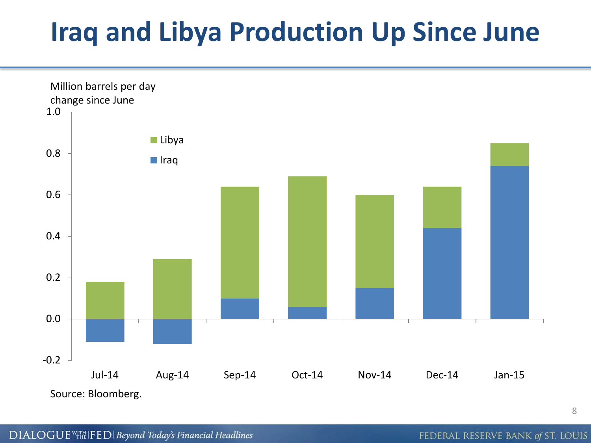# **Iraq and Libya Production Up Since June**

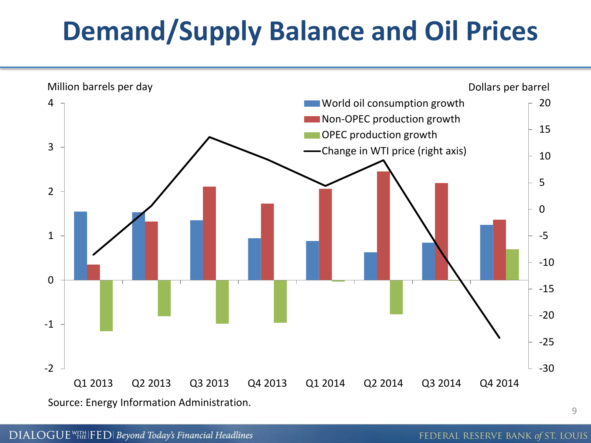# **Demand/Supply Balance and Oil Prices**

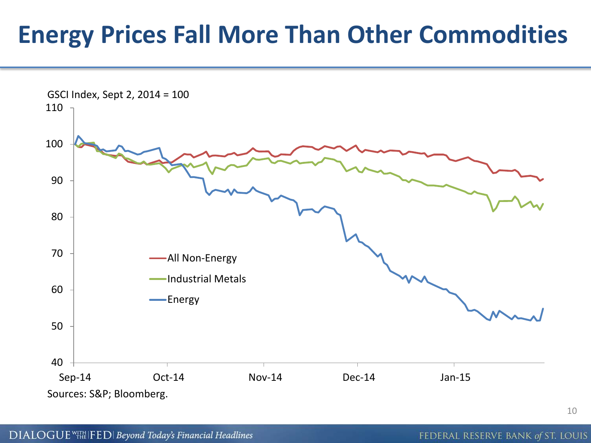#### **Energy Prices Fall More Than Other Commodities**

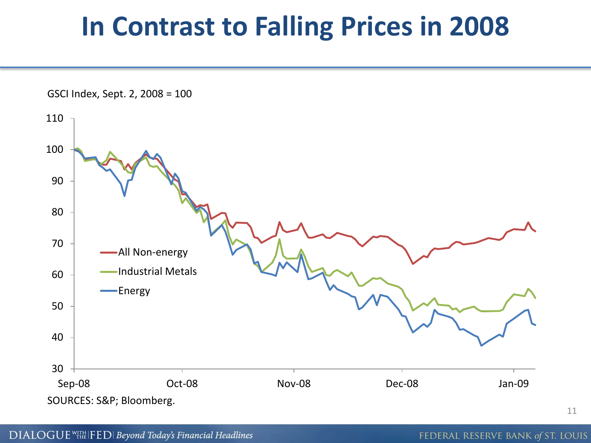### **In Contrast to Falling Prices in 2008**

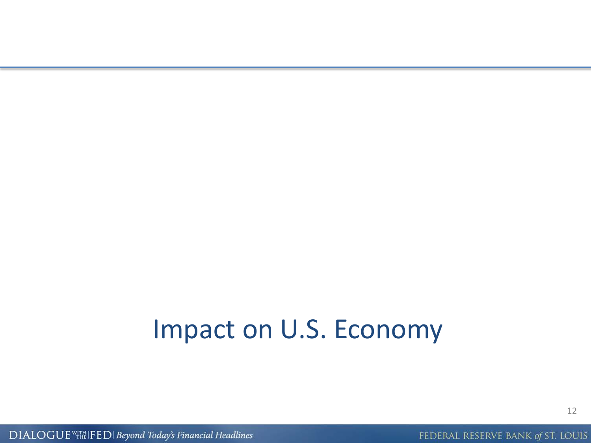#### Impact on U.S. Economy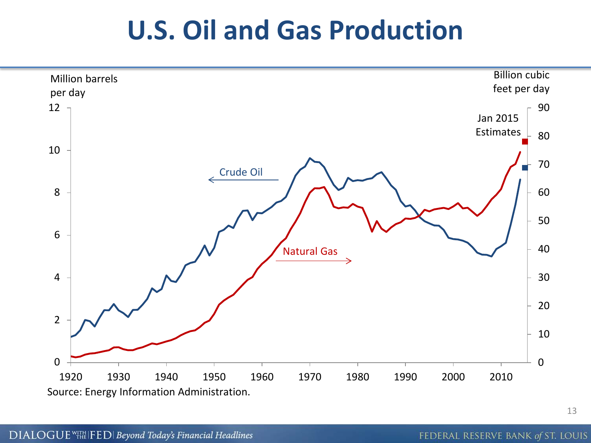### **U.S. Oil and Gas Production**

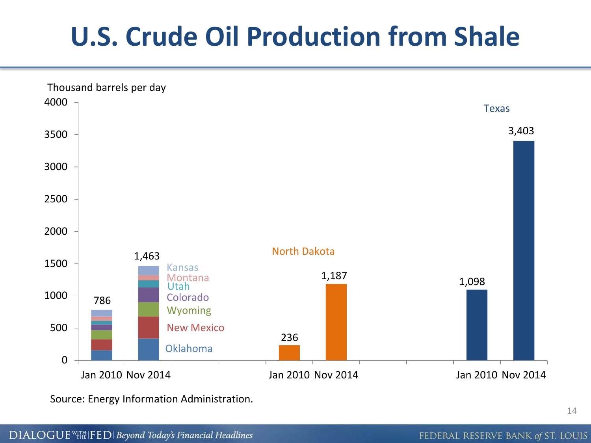# **U.S. Crude Oil Production from Shale**



Source: Energy Information Administration.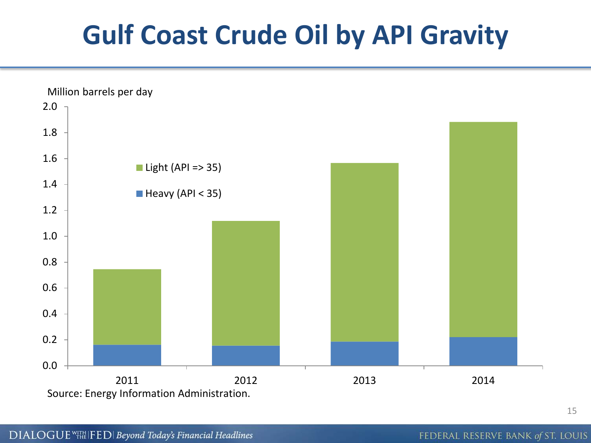# **Gulf Coast Crude Oil by API Gravity**

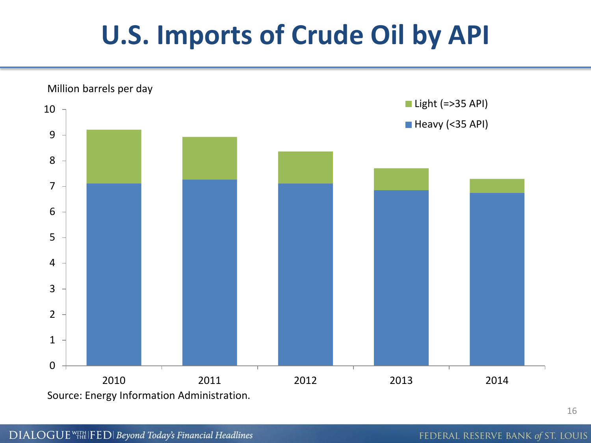# **U.S. Imports of Crude Oil by API**

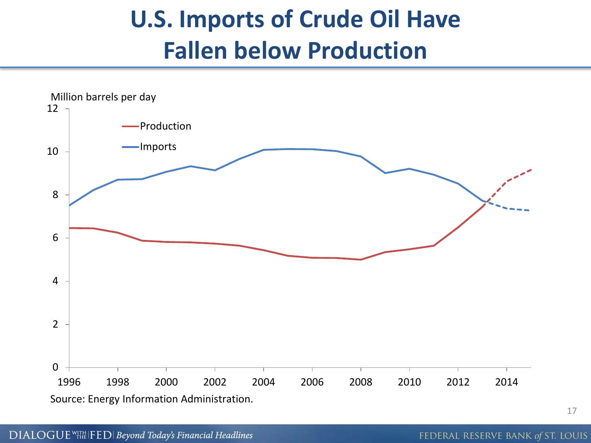#### **U.S. Imports of Crude Oil Have Fallen below Production**

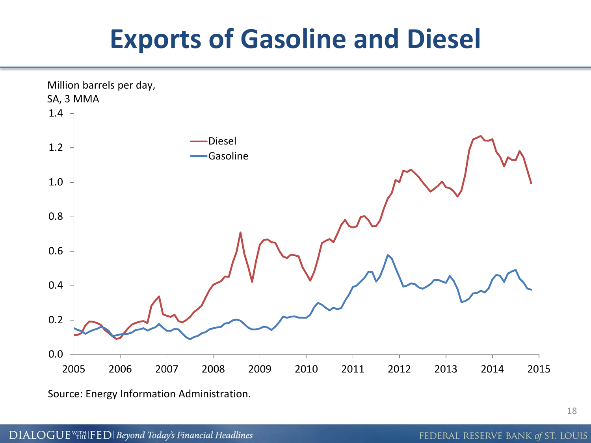# **Exports of Gasoline and Diesel**



Source: Energy Information Administration.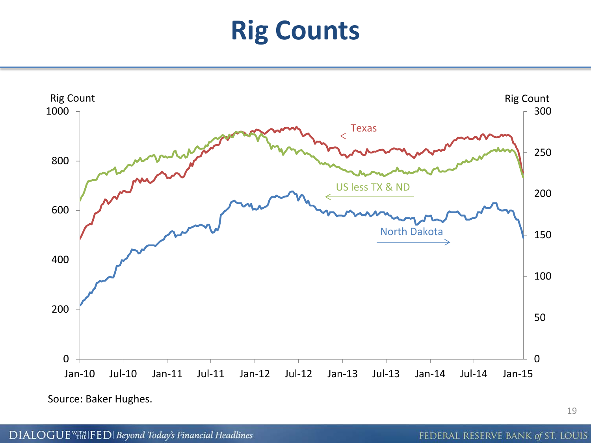# **Rig Counts**



Source: Baker Hughes.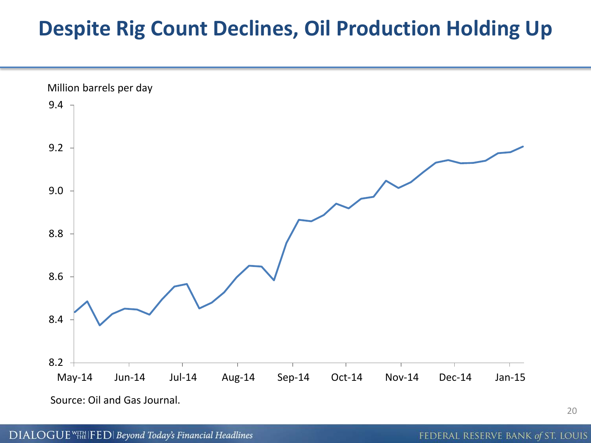#### **Despite Rig Count Declines, Oil Production Holding Up**



Source: Oil and Gas Journal.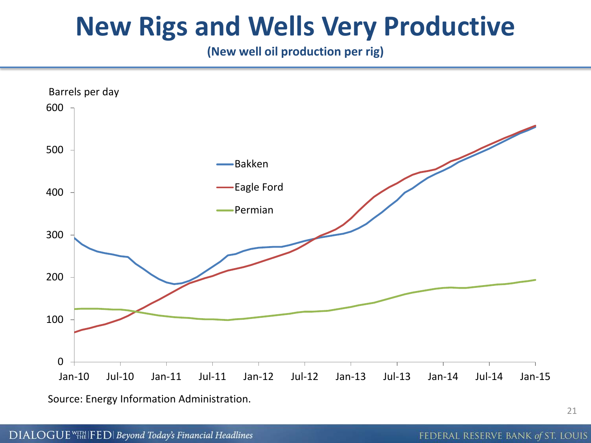### **New Rigs and Wells Very Productive**

**(New well oil production per rig)**



Source: Energy Information Administration.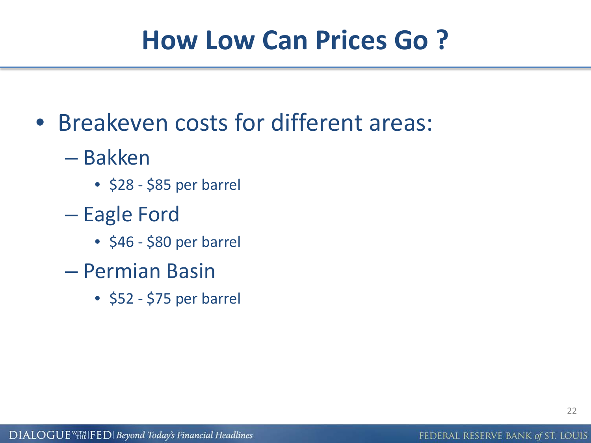# **How Low Can Prices Go ?**

- Breakeven costs for different areas:
	- Bakken
		- $\bullet$  \$28 \$85 per barrel
	- Eagle Ford
		- \$46 \$80 per barrel
	- Permian Basin
		- \$52 \$75 per barrel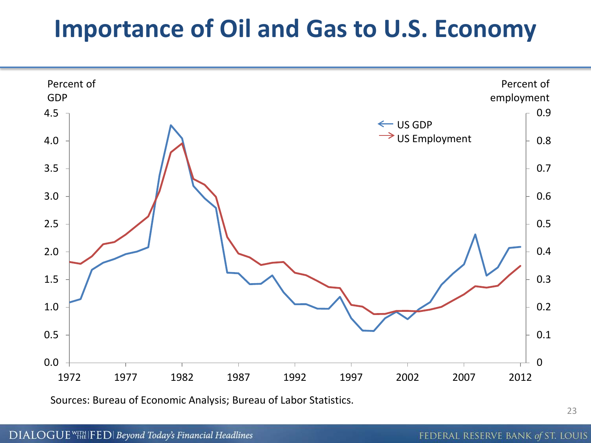#### **Importance of Oil and Gas to U.S. Economy**



Sources: Bureau of Economic Analysis; Bureau of Labor Statistics.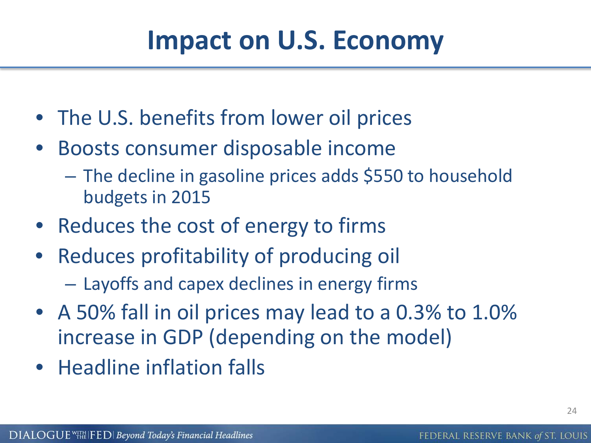# **Impact on U.S. Economy**

- The U.S. benefits from lower oil prices
- Boosts consumer disposable income
	- The decline in gasoline prices adds \$550 to household budgets in 2015
- Reduces the cost of energy to firms
- Reduces profitability of producing oil
	- Layoffs and capex declines in energy firms
- A 50% fall in oil prices may lead to a 0.3% to 1.0% increase in GDP (depending on the model)
- Headline inflation falls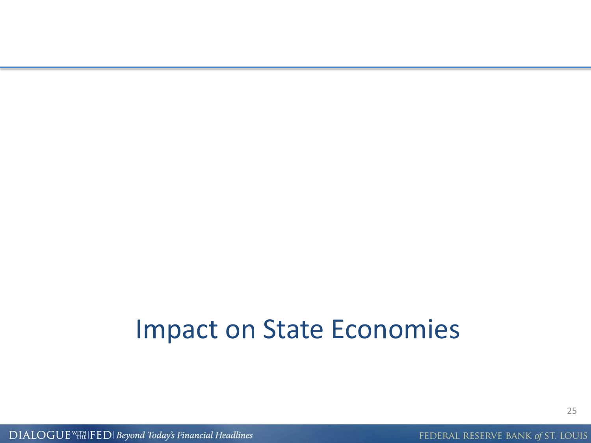#### Impact on State Economies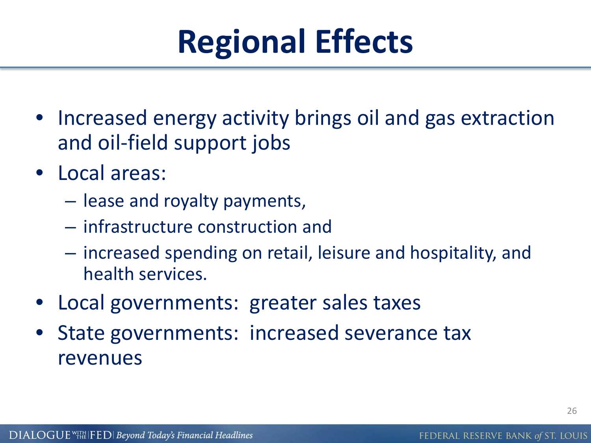# **Regional Effects**

- Increased energy activity brings oil and gas extraction and oil-field support jobs
- Local areas:
	- lease and royalty payments,
	- infrastructure construction and
	- increased spending on retail, leisure and hospitality, and health services.
- Local governments: greater sales taxes
- State governments: increased severance tax revenues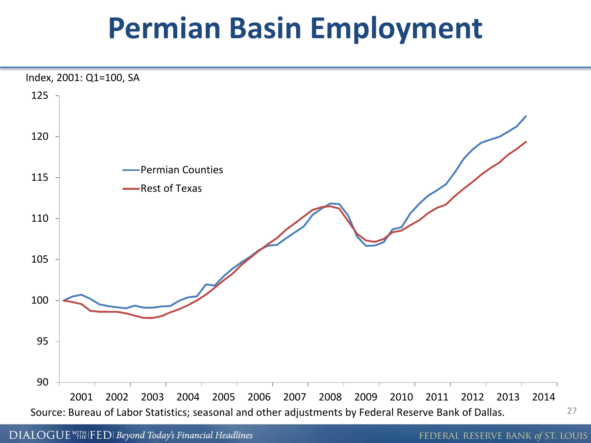# **Permian Basin Employment**

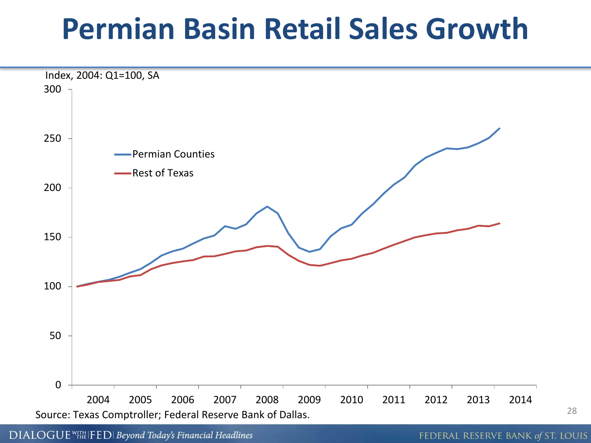# **Permian Basin Retail Sales Growth**



DIALOGUE<sup>WITH</sup> IFED | Beyond Today's Financial Headlines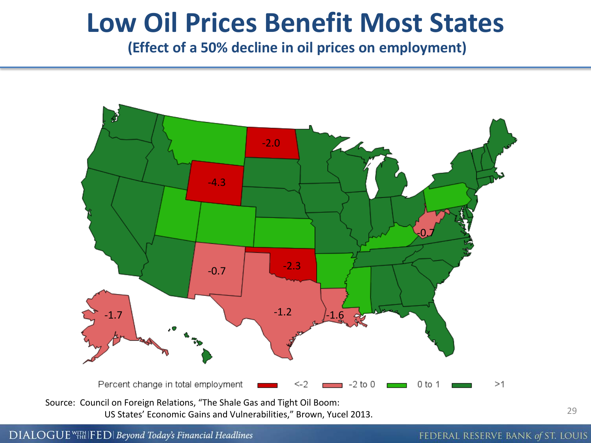#### **Low Oil Prices Benefit Most States**

**(Effect of a 50% decline in oil prices on employment)**



DIALOGUE WITH FED | Beyond Today's Financial Headlines

FEDERAL RESERVE BANK of ST. LOUIS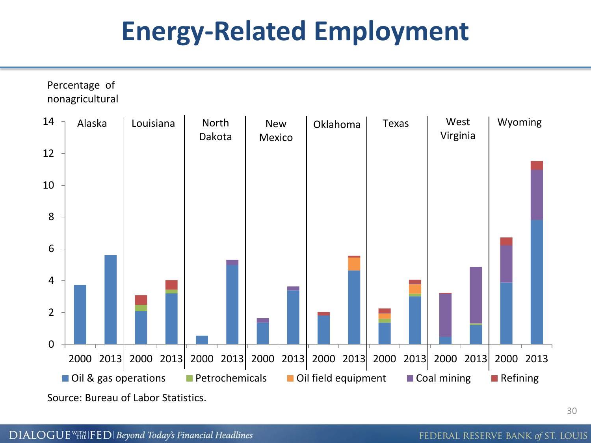# **Energy-Related Employment**

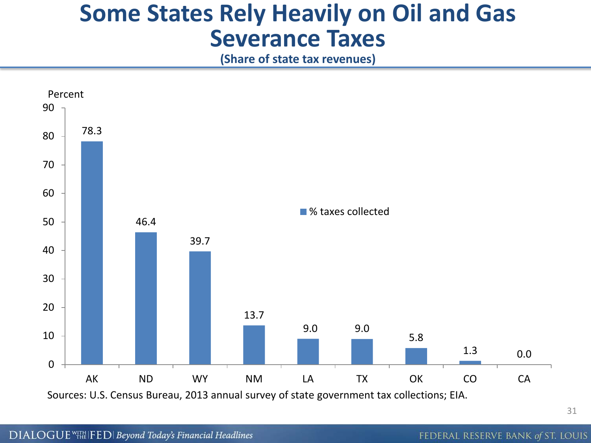#### **Some States Rely Heavily on Oil and Gas Severance Taxes**

**(Share of state tax revenues)** 

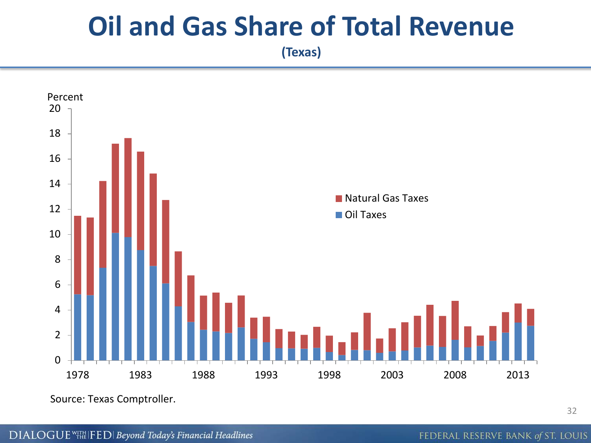### **Oil and Gas Share of Total Revenue**

**(Texas)**



Source: Texas Comptroller.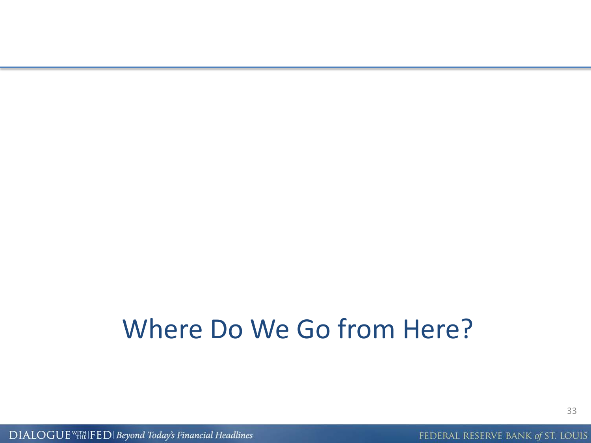### Where Do We Go from Here?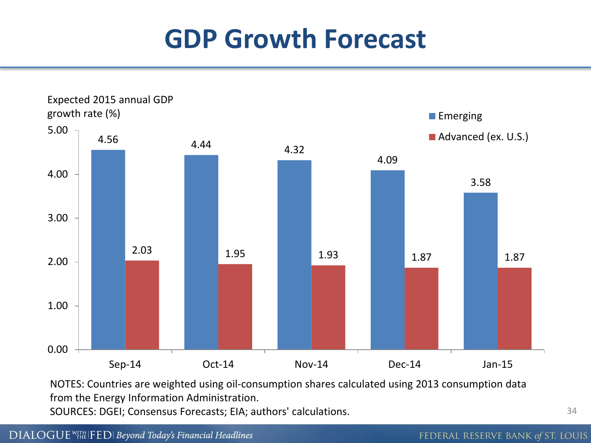# **GDP Growth Forecast**



NOTES: Countries are weighted using oil-consumption shares calculated using 2013 consumption data from the Energy Information Administration.

SOURCES: DGEI; Consensus Forecasts; EIA; authors' calculations.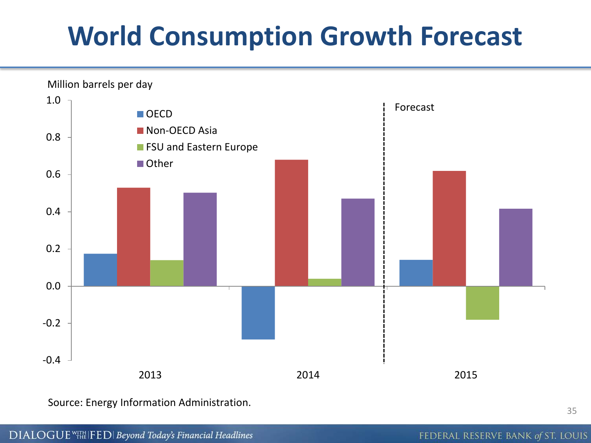# **World Consumption Growth Forecast**



Source: Energy Information Administration.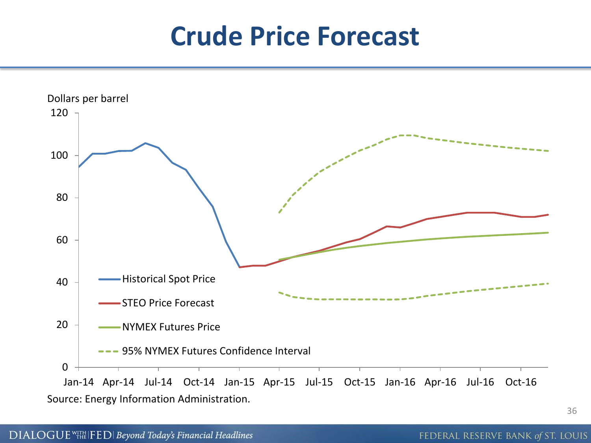### **Crude Price Forecast**

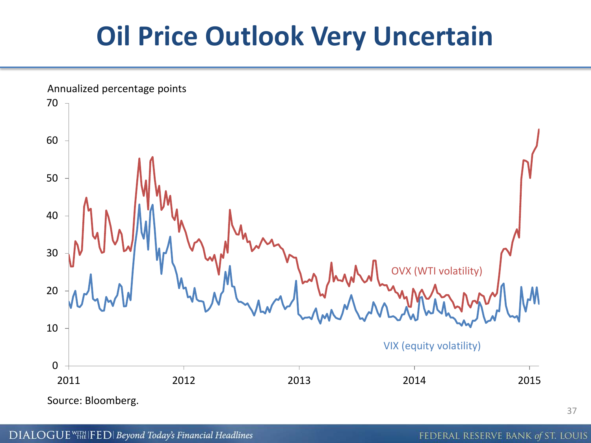# **Oil Price Outlook Very Uncertain**

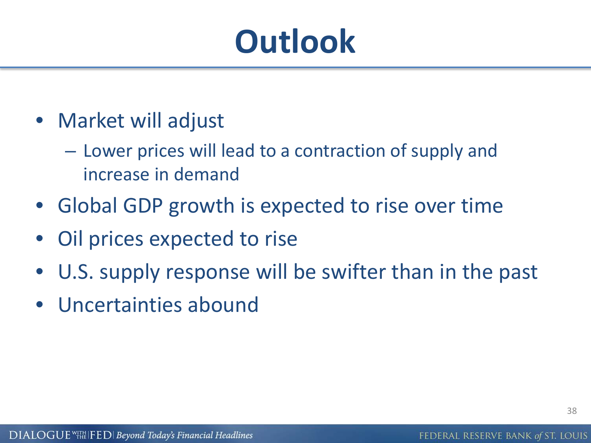# **Outlook**

- Market will adjust
	- Lower prices will lead to a contraction of supply and increase in demand
- Global GDP growth is expected to rise over time
- Oil prices expected to rise
- U.S. supply response will be swifter than in the past
- Uncertainties abound